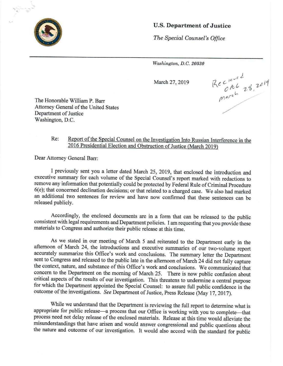

## U.S. Department of Justice

Washington, D.C. 20530

March 27, 2019 Recite 46 1 2019 bw

The Honorable William P. Barr Attorney General of the United States Department of Justice Washington, D.C.

## Re: Report of the Special Counsel on the Investigation Into Russian Interference in the 2016 Presidential Election and Obstruction of Justice (March 2019)

Dear Attorney General Barr:

I previously sent you a letter dated March 25, 2019, that enclosed the introduction and executive summary for each volume of the Special Counsel's report marked with redactions to remove any information that potentially could be protected by Federal Rule of Criminal Procedure <sup>6</sup>(e); <sup>t</sup>ha<sup>t</sup> <sup>c</sup>oncerne<sup>d</sup> <sup>d</sup>eclinatio<sup>n</sup> <sup>d</sup>ecisions; <sup>o</sup>rtha<sup>t</sup> <sup>r</sup>elate<sup>d</sup> <sup>t</sup><sup>o</sup> <sup>a</sup> <sup>c</sup>harge<sup>d</sup> <sup>c</sup>ase. <sup>W</sup>eals<sup>o</sup> <sup>h</sup>a<sup>d</sup> <sup>m</sup>arke<sup>d</sup> an additional two sentences for review and have now confirmed that these sentences can be released publicly.

Accordingly, the enclosed documents are in a form that can be released to the public consistent with legal requirements and Department policies. I am requesting that you provide these materials to Congress and authorize their public release at this time.

As we stated in our meeting of March 5 and reiterated to the Department early in the <sup>a</sup>fternoo<sup>n</sup> <sup>o</sup><sup>f</sup> <sup>M</sup>arc<sup>h</sup> <sup>2</sup>4, <sup>t</sup>h<sup>e</sup> <sup>i</sup>ntroduction<sup>s</sup> <sup>a</sup>n<sup>d</sup> <sup>e</sup>xecutiv<sup>e</sup> <sup>s</sup>ummarie<sup>s</sup> <sup>o</sup><sup>f</sup> <sup>o</sup>u<sup>r</sup> <sup>t</sup>wo-volum<sup>e</sup> <sup>r</sup>epor<sup>t</sup> accurately summarize this Office's work and conclusions. The summary letter the Department sent to Congress and released to the public late in the afternoon of March 24 did not fully capture <sup>t</sup>h<sup>e</sup> <sup>c</sup>ontext, <sup>n</sup>ature, <sup>a</sup>n<sup>d</sup> <sup>s</sup>ubstanc<sup>e</sup> <sup>o</sup><sup>f</sup> <sup>t</sup>hi<sup>s</sup> <sup>O</sup>ffice'<sup>s</sup> <sup>w</sup>or<sup>k</sup> <sup>a</sup>n<sup>d</sup> <sup>c</sup>onclusions. <sup>W</sup><sup>e</sup> <sup>c</sup>ommunicate<sup>d</sup> <sup>t</sup>ha<sup>t</sup> concern to the Department on the morning of March 25. There is now public confusion about critical aspects of the results of our investigation. This threatens to undermine a central purpose <sup>f</sup>o<sup>r</sup> <sup>w</sup>hic<sup>h</sup> <sup>t</sup>h<sup>e</sup> <sup>D</sup>epartmen<sup>t</sup> <sup>a</sup>ppointe<sup>d</sup> <sup>t</sup>h<sup>e</sup> <sup>S</sup>pecia<sup>l</sup> <sup>C</sup>ounsel: <sup>t</sup><sup>o</sup> <sup>a</sup>ssur<sup>e</sup> <sup>f</sup>ull <sup>p</sup>ubli<sup>c</sup> <sup>c</sup>onfidenc<sup>e</sup> <sup>i</sup><sup>n</sup> <sup>t</sup>h<sup>e</sup> outcome of the investigations. See Department of Justice, Press Release (May 17, 2017).

While we understand that the Department is reviewing the full report to determine what is <sup>a</sup>ppropriat<sup>e</sup> <sup>f</sup>o<sup>r</sup> <sup>p</sup>ubli<sup>c</sup> <sup>r</sup>elease—<sup>a</sup> <sup>p</sup>rocess <sup>t</sup>ha<sup>t</sup> <sup>o</sup>u<sup>r</sup> <sup>O</sup>ffic<sup>e</sup> <sup>i</sup><sup>s</sup> <sup>w</sup>orkin<sup>g</sup> <sup>w</sup>it<sup>h</sup> <sup>y</sup>o<sup>u</sup> <sup>t</sup><sup>o</sup> <sup>c</sup>omplete—tha<sup>t</sup> process need not delay release of the enclosed materials. Release at this time would alleviate the <sup>m</sup>isunderstanding<sup>s</sup> <sup>t</sup>ha<sup>t</sup> <sup>h</sup>av<sup>e</sup> <sup>a</sup>rise<sup>n</sup> <sup>a</sup>n<sup>d</sup> <sup>w</sup>oul<sup>d</sup> <sup>a</sup>nswe<sup>r</sup> <sup>c</sup>ongressiona<sup>l</sup> <sup>a</sup>n<sup>d</sup> <sup>p</sup>ubli<sup>c</sup> <sup>q</sup>uestion<sup>s</sup> <sup>a</sup>bou<sup>t</sup> <sup>t</sup>h<sup>e</sup> <sup>n</sup>atur<sup>e</sup> <sup>a</sup>n<sup>d</sup> <sup>o</sup>utcom<sup>e</sup> <sup>o</sup><sup>f</sup> <sup>o</sup>u<sup>r</sup> <sup>i</sup>nvestigation. <sup>I</sup><sup>t</sup> <sup>w</sup>oul<sup>d</sup> <sup>a</sup>ls<sup>o</sup> <sup>a</sup>ccor<sup>d</sup> <sup>w</sup>it<sup>h</sup> <sup>t</sup>h<sup>e</sup> <sup>s</sup>tandar<sup>d</sup> <sup>f</sup>o<sup>r</sup> <sup>p</sup>ubli<sup>c</sup>